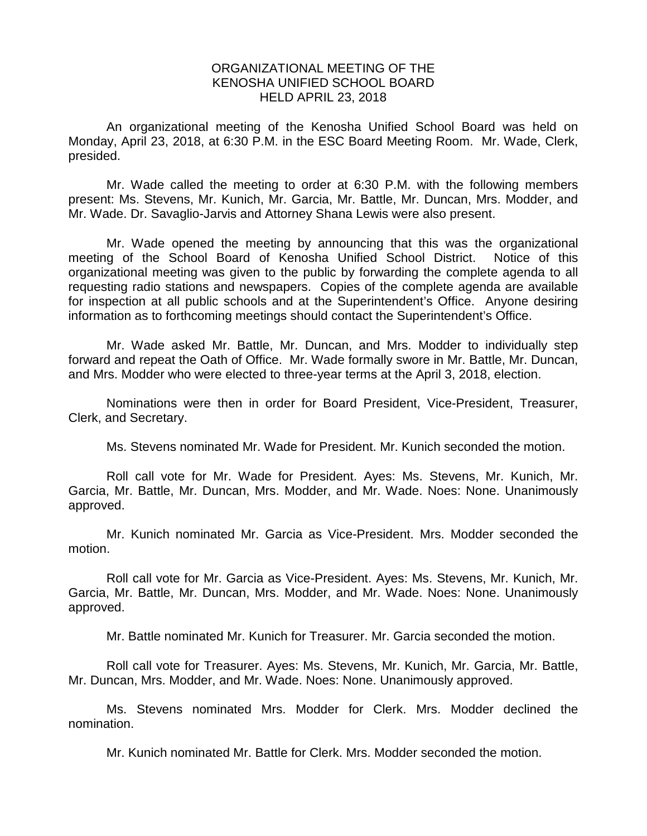## ORGANIZATIONAL MEETING OF THE KENOSHA UNIFIED SCHOOL BOARD HELD APRIL 23, 2018

An organizational meeting of the Kenosha Unified School Board was held on Monday, April 23, 2018, at 6:30 P.M. in the ESC Board Meeting Room. Mr. Wade, Clerk, presided.

Mr. Wade called the meeting to order at 6:30 P.M. with the following members present: Ms. Stevens, Mr. Kunich, Mr. Garcia, Mr. Battle, Mr. Duncan, Mrs. Modder, and Mr. Wade. Dr. Savaglio-Jarvis and Attorney Shana Lewis were also present.

Mr. Wade opened the meeting by announcing that this was the organizational meeting of the School Board of Kenosha Unified School District. Notice of this organizational meeting was given to the public by forwarding the complete agenda to all requesting radio stations and newspapers. Copies of the complete agenda are available for inspection at all public schools and at the Superintendent's Office. Anyone desiring information as to forthcoming meetings should contact the Superintendent's Office.

Mr. Wade asked Mr. Battle, Mr. Duncan, and Mrs. Modder to individually step forward and repeat the Oath of Office. Mr. Wade formally swore in Mr. Battle, Mr. Duncan, and Mrs. Modder who were elected to three-year terms at the April 3, 2018, election.

Nominations were then in order for Board President, Vice-President, Treasurer, Clerk, and Secretary.

Ms. Stevens nominated Mr. Wade for President. Mr. Kunich seconded the motion.

Roll call vote for Mr. Wade for President. Ayes: Ms. Stevens, Mr. Kunich, Mr. Garcia, Mr. Battle, Mr. Duncan, Mrs. Modder, and Mr. Wade. Noes: None. Unanimously approved.

Mr. Kunich nominated Mr. Garcia as Vice-President. Mrs. Modder seconded the motion.

Roll call vote for Mr. Garcia as Vice-President. Ayes: Ms. Stevens, Mr. Kunich, Mr. Garcia, Mr. Battle, Mr. Duncan, Mrs. Modder, and Mr. Wade. Noes: None. Unanimously approved.

Mr. Battle nominated Mr. Kunich for Treasurer. Mr. Garcia seconded the motion.

Roll call vote for Treasurer. Ayes: Ms. Stevens, Mr. Kunich, Mr. Garcia, Mr. Battle, Mr. Duncan, Mrs. Modder, and Mr. Wade. Noes: None. Unanimously approved.

Ms. Stevens nominated Mrs. Modder for Clerk. Mrs. Modder declined the nomination.

Mr. Kunich nominated Mr. Battle for Clerk. Mrs. Modder seconded the motion.